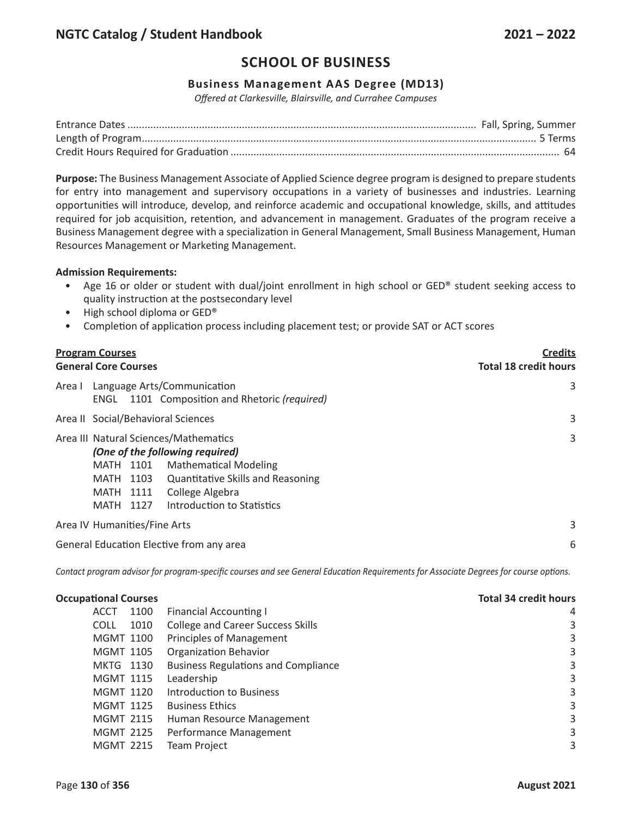## **Business Management AAS Degree (MD13)**

*Offered at Clarkesville, Blairsville, and Currahee Campuses*

**Purpose:** The Business Management Associate of Applied Science degree program is designed to prepare students for entry into management and supervisory occupations in a variety of businesses and industries. Learning opportunities will introduce, develop, and reinforce academic and occupational knowledge, skills, and attitudes required for job acquisition, retention, and advancement in management. Graduates of the program receive a Business Management degree with a specialization in General Management, Small Business Management, Human Resources Management or Marketing Management.

#### **Admission Requirements:**

- Age 16 or older or student with dual/joint enrollment in high school or GED® student seeking access to quality instruction at the postsecondary level
- High school diploma or GED®
- Completion of application process including placement test; or provide SAT or ACT scores

| <b>Program Courses</b><br><b>Total 18 credit hours</b><br><b>General Core Courses</b>                                                                                                                                                                     | <b>Credits</b> |
|-----------------------------------------------------------------------------------------------------------------------------------------------------------------------------------------------------------------------------------------------------------|----------------|
| Language Arts/Communication<br>Area I<br>1101 Composition and Rhetoric (required)<br>ENGL                                                                                                                                                                 | 3              |
| Area II Social/Behavioral Sciences                                                                                                                                                                                                                        | 3              |
| Area III Natural Sciences/Mathematics<br>(One of the following required)<br><b>Mathematical Modeling</b><br>MATH 1101<br><b>Quantitative Skills and Reasoning</b><br>MATH 1103<br>College Algebra<br>MATH 1111<br>Introduction to Statistics<br>MATH 1127 | 3              |
| Area IV Humanities/Fine Arts                                                                                                                                                                                                                              | 3              |
| General Education Elective from any area                                                                                                                                                                                                                  | 6              |

Contact program advisor for program-specific courses and see General Education Requirements for Associate Degrees for course options.

| <b>Occupational Courses</b> |      | <b>Total 34 credit hours</b>               |   |
|-----------------------------|------|--------------------------------------------|---|
| ACCT                        | 1100 | <b>Financial Accounting I</b>              | 4 |
| <b>COLL</b>                 | 1010 | <b>College and Career Success Skills</b>   | 3 |
| <b>MGMT 1100</b>            |      | Principles of Management                   | 3 |
| <b>MGMT 1105</b>            |      | <b>Organization Behavior</b>               | 3 |
| MKTG 1130                   |      | <b>Business Regulations and Compliance</b> | 3 |
| <b>MGMT 1115</b>            |      | Leadership                                 | 3 |
| <b>MGMT 1120</b>            |      | Introduction to Business                   | 3 |
| <b>MGMT 1125</b>            |      | <b>Business Ethics</b>                     | 3 |
| <b>MGMT 2115</b>            |      | Human Resource Management                  | 3 |
| <b>MGMT 2125</b>            |      | Performance Management                     | 3 |
| <b>MGMT 2215</b>            |      | <b>Team Project</b>                        | 3 |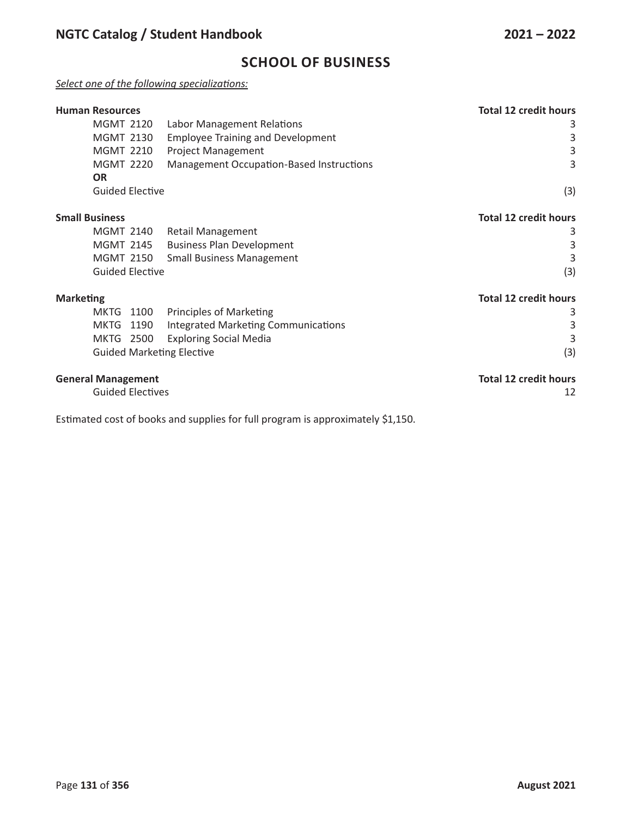## *Select one of the following specializations:*

| <b>Human Resources</b>           |                                          | <b>Total 12 credit hours</b> |
|----------------------------------|------------------------------------------|------------------------------|
| <b>MGMT 2120</b>                 | Labor Management Relations               | 3                            |
| <b>MGMT 2130</b>                 | <b>Employee Training and Development</b> | 3                            |
| <b>MGMT 2210</b>                 | <b>Project Management</b>                | 3                            |
| <b>MGMT 2220</b>                 | Management Occupation-Based Instructions | 3                            |
| <b>OR</b>                        |                                          |                              |
| <b>Guided Elective</b>           |                                          | (3)                          |
| <b>Small Business</b>            |                                          | <b>Total 12 credit hours</b> |
| <b>MGMT 2140</b>                 | <b>Retail Management</b>                 | 3                            |
| <b>MGMT 2145</b>                 | <b>Business Plan Development</b>         | 3                            |
| <b>MGMT 2150</b>                 | <b>Small Business Management</b>         | 3                            |
| <b>Guided Elective</b>           |                                          | (3)                          |
| <b>Marketing</b>                 |                                          | <b>Total 12 credit hours</b> |
| <b>MKTG</b><br>1100              | <b>Principles of Marketing</b>           | 3                            |
| MKTG<br>1190                     | Integrated Marketing Communications      | 3                            |
| MKTG<br>2500                     | <b>Exploring Social Media</b>            | 3                            |
| <b>Guided Marketing Elective</b> |                                          | (3)                          |
| <b>General Management</b>        |                                          | <b>Total 12 credit hours</b> |
| <b>Guided Electives</b>          |                                          | 12                           |

Estimated cost of books and supplies for full program is approximately \$1,150.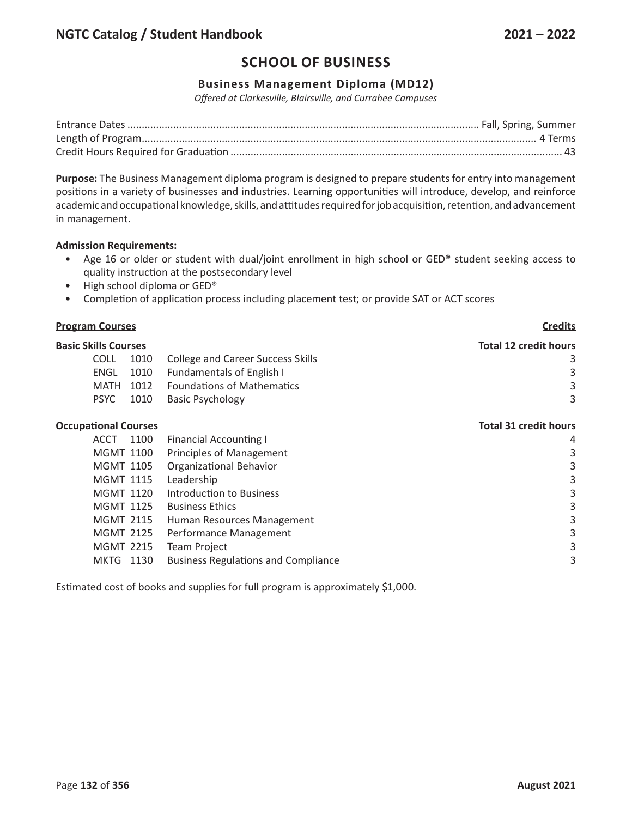## **Business Management Diploma (MD12)**

*Offered at Clarkesville, Blairsville, and Currahee Campuses*

**Purpose:** The Business Management diploma program is designed to prepare students for entry into management positions in a variety of businesses and industries. Learning opportunities will introduce, develop, and reinforce academic and occupational knowledge, skills, and attitudes required for job acquisition, retention, and advancement in management.

### **Admission Requirements:**

- Age 16 or older or student with dual/joint enrollment in high school or GED® student seeking access to quality instruction at the postsecondary level
- High school diploma or GED®
- Completion of application process including placement test; or provide SAT or ACT scores

#### **Program Courses Credits**

| <b>Basic Skills Courses</b> |      |                                   | <b>Total 12 credit hours</b> |
|-----------------------------|------|-----------------------------------|------------------------------|
| <b>COLL</b>                 | 1010 | College and Career Success Skills |                              |
| ENGL                        | 1010 | <b>Fundamentals of English I</b>  | 3                            |
| MATH 1012                   |      | <b>Foundations of Mathematics</b> | 3                            |
| <b>PSYC</b>                 | 1010 | <b>Basic Psychology</b>           |                              |
|                             |      |                                   |                              |

### **Occupational Courses Total 31 credit hours**

| <b>ACCT</b>      | 1100 | <b>Financial Accounting I</b>              | 4 |
|------------------|------|--------------------------------------------|---|
| <b>MGMT 1100</b> |      | Principles of Management                   | 3 |
| <b>MGMT 1105</b> |      | <b>Organizational Behavior</b>             | 3 |
| <b>MGMT 1115</b> |      | Leadership                                 | 3 |
| <b>MGMT 1120</b> |      | Introduction to Business                   | 3 |
| <b>MGMT 1125</b> |      | <b>Business Ethics</b>                     | 3 |
| <b>MGMT 2115</b> |      | Human Resources Management                 | 3 |
| <b>MGMT 2125</b> |      | Performance Management                     | 3 |
| <b>MGMT 2215</b> |      | <b>Team Project</b>                        | 3 |
| MKTG 1130        |      | <b>Business Regulations and Compliance</b> | 3 |
|                  |      |                                            |   |

Estimated cost of books and supplies for full program is approximately \$1,000.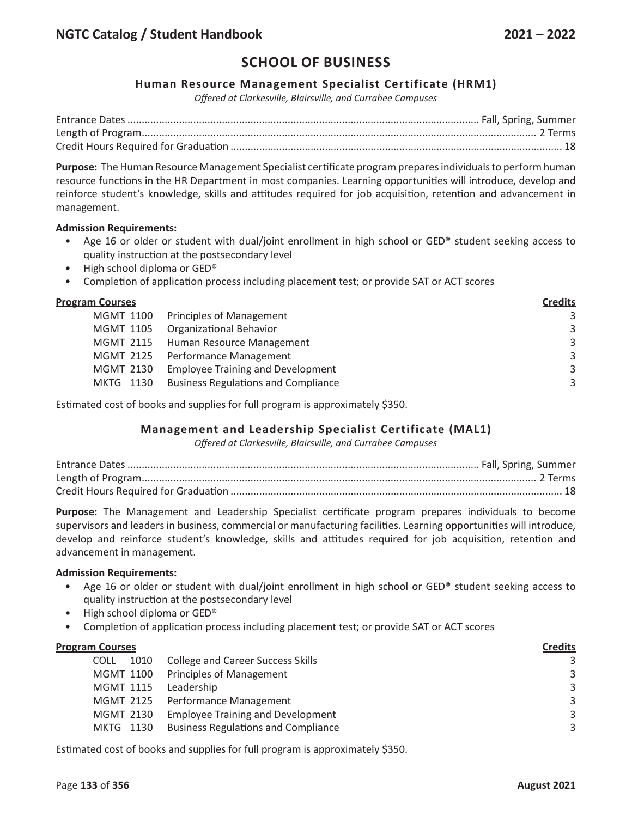### **Human Resource Management Specialist Certificate (HRM1)**

*Offered at Clarkesville, Blairsville, and Currahee Campuses*

**Purpose:** The Human Resource Management Specialist certificate program prepares individuals to perform human resource functions in the HR Department in most companies. Learning opportunities will introduce, develop and reinforce student's knowledge, skills and attitudes required for job acquisition, retention and advancement in management.

#### **Admission Requirements:**

- Age 16 or older or student with dual/joint enrollment in high school or GED® student seeking access to quality instruction at the postsecondary level
- High school diploma or GED®
- Completion of application process including placement test; or provide SAT or ACT scores

#### **Program Courses Credits**

|                                               | ------- |
|-----------------------------------------------|---------|
| MGMT 1100 Principles of Management            | 3       |
| MGMT 1105 Organizational Behavior             | 3       |
| MGMT 2115 Human Resource Management           | 3       |
| MGMT 2125 Performance Management              | 3       |
| MGMT 2130 Employee Training and Development   | 3       |
| MKTG 1130 Business Regulations and Compliance | 3       |
|                                               |         |

Estimated cost of books and supplies for full program is approximately \$350.

### **Management and Leadership Specialist Certificate (MAL1)**

*Offered at Clarkesville, Blairsville, and Currahee Campuses*

**Purpose:** The Management and Leadership Specialist certificate program prepares individuals to become supervisors and leaders in business, commercial or manufacturing facilities. Learning opportunities will introduce, develop and reinforce student's knowledge, skills and attitudes required for job acquisition, retention and advancement in management.

#### **Admission Requirements:**

- Age 16 or older or student with dual/joint enrollment in high school or GED® student seeking access to quality instruction at the postsecondary level
- High school diploma or GED®
- Completion of application process including placement test; or provide SAT or ACT scores

| <b>Program Courses</b> |                                            | <b>Credits</b> |  |
|------------------------|--------------------------------------------|----------------|--|
| 1010<br><b>COLL</b>    | <b>College and Career Success Skills</b>   | 3              |  |
|                        | MGMT 1100 Principles of Management         | 3              |  |
| <b>MGMT 1115</b>       | Leadership                                 | 3              |  |
|                        | MGMT 2125 Performance Management           | 3              |  |
| MGMT 2130              | <b>Employee Training and Development</b>   | 3              |  |
| MKTG 1130              | <b>Business Regulations and Compliance</b> | 3              |  |
|                        |                                            |                |  |

Estimated cost of books and supplies for full program is approximately \$350.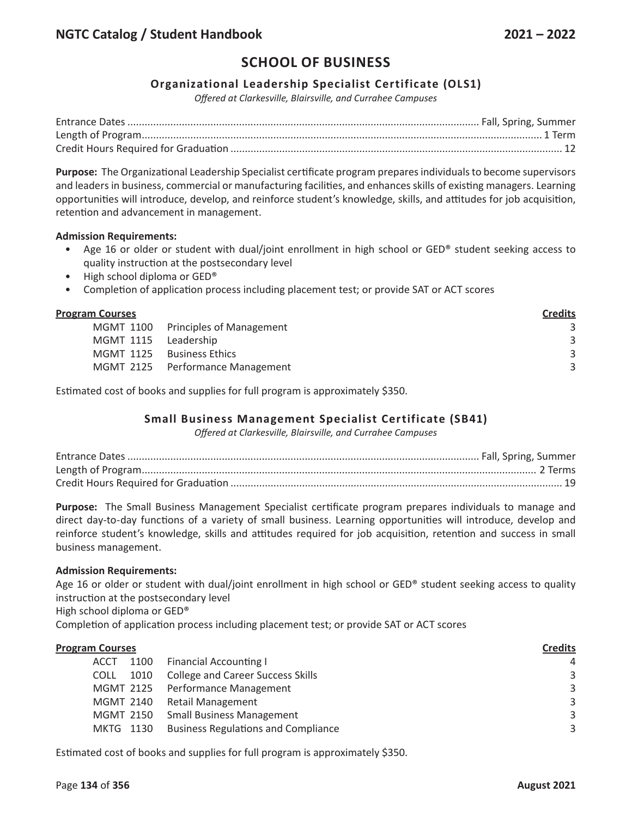## **Organizational Leadership Specialist Certificate (OLS1)**

*Offered at Clarkesville, Blairsville, and Currahee Campuses*

**Purpose:** The Organizational Leadership Specialist certificate program prepares individuals to become supervisors and leaders in business, commercial or manufacturing facilities, and enhances skills of existing managers. Learning opportunities will introduce, develop, and reinforce student's knowledge, skills, and attitudes for job acquisition, retention and advancement in management.

#### **Admission Requirements:**

- Age 16 or older or student with dual/joint enrollment in high school or GED® student seeking access to quality instruction at the postsecondary level
- High school diploma or GED®
- Completion of application process including placement test; or provide SAT or ACT scores

| <b>Credits</b>                                                                                                              |
|-----------------------------------------------------------------------------------------------------------------------------|
|                                                                                                                             |
| 3                                                                                                                           |
| 3                                                                                                                           |
| 3                                                                                                                           |
| MGMT 1100 Principles of Management<br>MGMT 1115 Leadership<br>MGMT 1125 Business Ethics<br>MGMT 2125 Performance Management |

Estimated cost of books and supplies for full program is approximately \$350.

## **Small Business Management Specialist Certificate (SB41)**

*Offered at Clarkesville, Blairsville, and Currahee Campuses*

**Purpose:** The Small Business Management Specialist certificate program prepares individuals to manage and direct day-to-day functions of a variety of small business. Learning opportunities will introduce, develop and reinforce student's knowledge, skills and attitudes required for job acquisition, retention and success in small business management.

#### **Admission Requirements:**

Age 16 or older or student with dual/joint enrollment in high school or GED® student seeking access to quality instruction at the postsecondary level

High school diploma or GED®

Completion of application process including placement test; or provide SAT or ACT scores

| <b>Program Courses</b> |                                            | <b>Credits</b> |
|------------------------|--------------------------------------------|----------------|
| <b>ACCT</b>            | 1100 Financial Accounting I                | 4              |
| 1010<br><b>COLL</b>    | <b>College and Career Success Skills</b>   | 3              |
|                        | MGMT 2125 Performance Management           | 3              |
|                        | MGMT 2140 Retail Management                | 3              |
|                        | MGMT 2150 Small Business Management        | 3              |
| MKTG 1130              | <b>Business Regulations and Compliance</b> | 3              |
|                        |                                            |                |

Estimated cost of books and supplies for full program is approximately \$350.